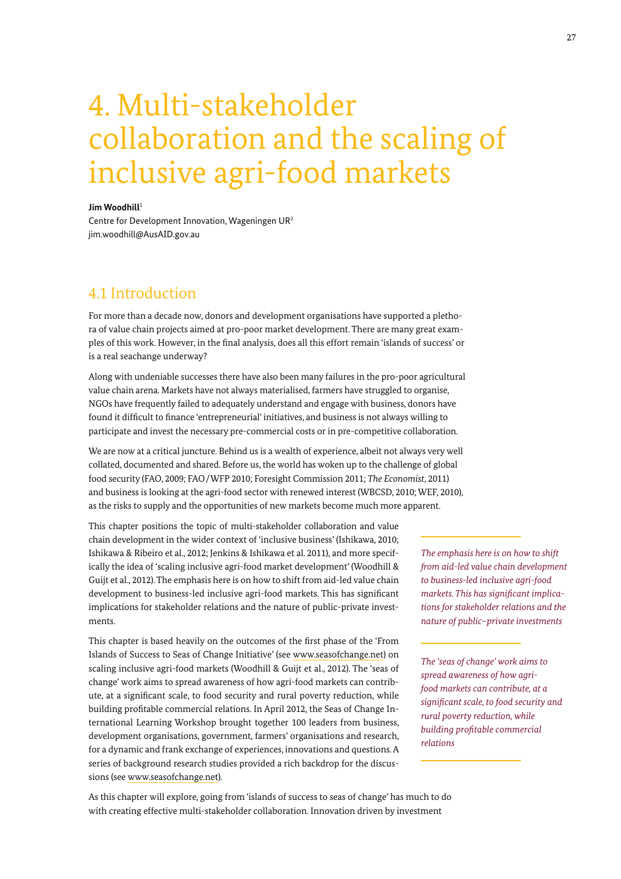# 4. Multi-stakeholder collaboration and the scaling of inclusive agri-food markets

### **Jim Woodhill**<sup>1</sup>

Centre for Development Innovation, Wageningen UR2 jim.woodhill@AusAID.gov.au

# 4.1 Introduction

For more than a decade now, donors and development organisations have supported a plethora of value chain projects aimed at pro-poor market development. There are many great examples of this work. However, in the final analysis, does all this effort remain 'islands of success' or is a real seachange underway?

Along with undeniable successes there have also been many failures in the pro-poor agricultural value chain arena. Markets have not always materialised, farmers have struggled to organise, NGOs have frequently failed to adequately understand and engage with business, donors have found it difficult to finance 'entrepreneurial' initiatives, and business is not always willing to participate and invest the necessary pre-commercial costs or in pre-competitive collaboration.

We are now at a critical juncture. Behind us is a wealth of experience, albeit not always very well collated, documented and shared. Before us, the world has woken up to the challenge of global food security (FAO, 2009; FAO / WFP 2010; Foresight Commission 2011; *The Economist*, 2011) and business is looking at the agri-food sector with renewed interest (WBCSD, 2010; WEF, 2010), as the risks to supply and the opportunities of new markets become much more apparent.

This chapter positions the topic of multi-stakeholder collaboration and value chain development in the wider context of 'inclusive business' (Ishikawa, 2010; Ishikawa & Ribeiro et al., 2012; Jenkins & Ishikawa et al. 2011), and more specifically the idea of 'scaling inclusive agri-food market development' (Woodhill & Guijt et al., 2012). The emphasis here is on how to shift from aid-led value chain development to business-led inclusive agri-food markets. This has significant implications for stakeholder relations and the nature of public-private investments.

This chapter is based heavily on the outcomes of the first phase of the 'From Islands of Success to Seas of Change Initiative' (see www.seasofchange.net) on scaling inclusive agri-food markets (Woodhill & Guijt et al., 2012). The 'seas of change' work aims to spread awareness of how agri-food markets can contribute, at a significant scale, to food security and rural poverty reduction, while building profitable commercial relations. In April 2012, the Seas of Change International Learning Workshop brought together 100 leaders from business, development organisations, government, farmers' organisations and research, for a dynamic and frank exchange of experiences, innovations and questions. A series of background research studies provided a rich backdrop for the discussions (see www.seasofchange.net).

*from aid-led value chain development to business-led inclusive agri-food markets. This has significant implications for stakeholder relations and the nature of public–private investments*

*The emphasis here is on how to shift* 

*The 'seas of change' work aims to spread awareness of how agrifood markets can contribute, at a significant scale, to food security and rural poverty reduction, while build ing profitable commercial relations*

As this chapter will explore, going from 'islands of success to seas of change' has much to do with creating effective multi-stakeholder collaboration. Innovation driven by investment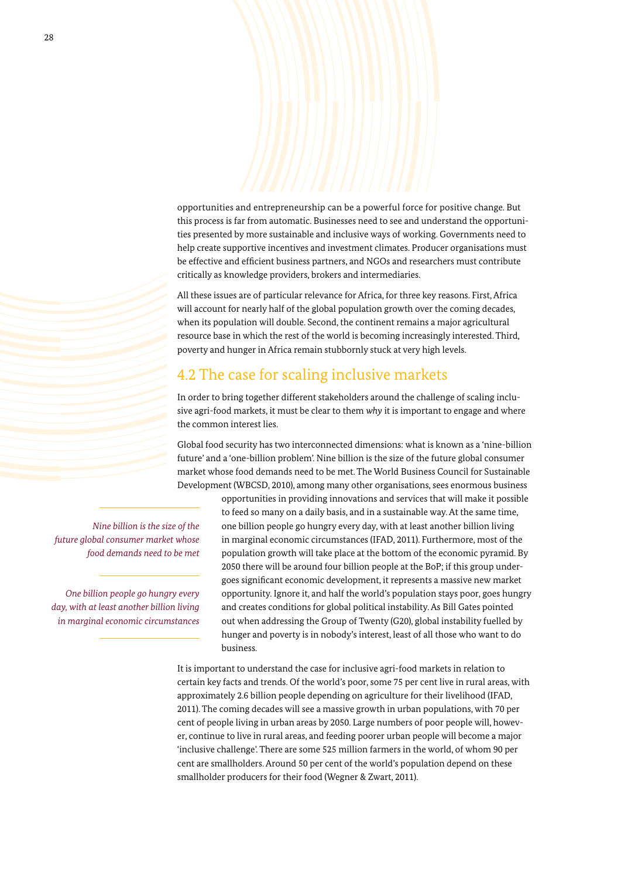opportunities and entrepreneurship can be a powerful force for positive change. But this process is far from automatic. Businesses need to see and understand the opportunities presented by more sustainable and inclusive ways of working. Governments need to help create supportive incentives and investment climates. Producer organisations must be effective and efficient business partners, and NGOs and researchers must contribute critically as knowledge providers, brokers and intermediaries.

All these issues are of particular relevance for Africa, for three key reasons. First, Africa will account for nearly half of the global population growth over the coming decades, when its population will double. Second, the continent remains a major agricultural resource base in which the rest of the world is becoming increasingly interested. Third, poverty and hunger in Africa remain stubbornly stuck at very high levels.

# 4.2 The case for scaling inclusive markets

In order to bring together different stakeholders around the challenge of scaling inclusive agri-food markets, it must be clear to them *why* it is important to engage and where the common interest lies.

Global food security has two interconnected dimensions: what is known as a 'nine-billion future' and a 'one-billion problem'. Nine billion is the size of the future global consumer market whose food demands need to be met. The World Business Council for Sustainable Development (WBCSD, 2010), among many other organisations, sees enormous business

*Nine billion is the size of the future global consumer market whose food demands need to be met*

*One billion people go hungry every day, with at least another billion living in marginal economic circumstances* opportunities in providing innovations and services that will make it possible to feed so many on a daily basis, and in a sustainable way. At the same time, one billion people go hungry every day, with at least another billion living in marginal economic circumstances (IFAD, 2011). Furthermore, most of the population growth will take place at the bottom of the economic pyramid. By 2050 there will be around four billion people at the BoP; if this group undergoes significant economic development, it represents a massive new market opportunity. Ignore it, and half the world's population stays poor, goes hungry and creates conditions for global political instability. As Bill Gates pointed out when addressing the Group of Twenty (G20), global instability fuelled by hunger and poverty is in nobody's interest, least of all those who want to do business.

It is important to understand the case for inclusive agri-food markets in relation to certain key facts and trends. Of the world's poor, some 75 per cent live in rural areas, with approximately 2.6 billion people depending on agriculture for their livelihood (IFAD, 2011). The coming decades will see a massive growth in urban populations, with 70 per cent of people living in urban areas by 2050. Large numbers of poor people will, however, continue to live in rural areas, and feeding poorer urban people will become a major 'inclusive challenge'. There are some 525 million farmers in the world, of whom 90 per cent are smallholders. Around 50 per cent of the world's population depend on these smallholder producers for their food (Wegner & Zwart, 2011).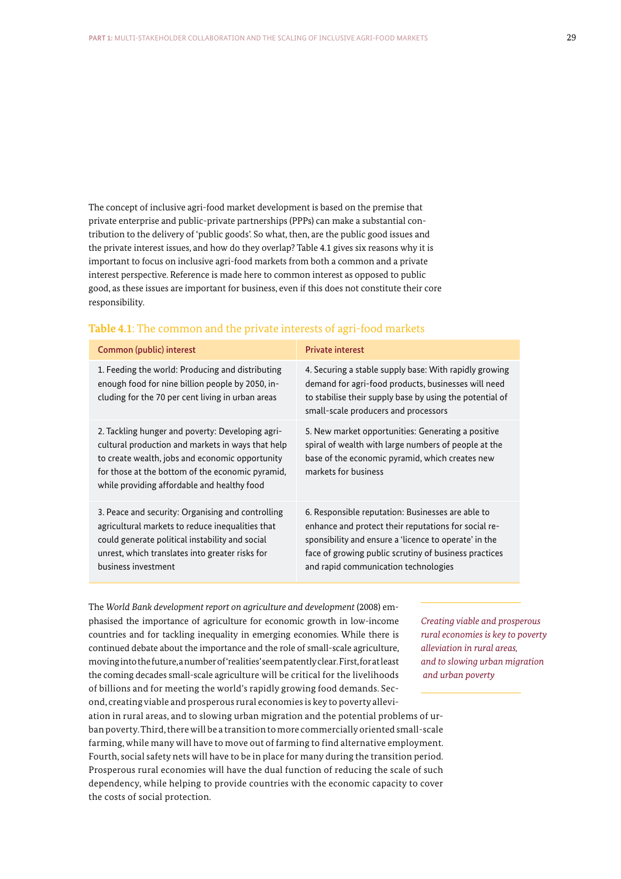The concept of inclusive agri-food market development is based on the premise that private enterprise and public-private partnerships (PPPs) can make a substantial contribution to the delivery of 'public goods'. So what, then, are the public good issues and the private interest issues, and how do they overlap? Table 4.1 gives six reasons why it is important to focus on inclusive agri-food markets from both a common and a private interest perspective. Reference is made here to common interest as opposed to public good, as these issues are important for business, even if this does not constitute their core responsibility.

| Common (public) interest                                                                                                                                                                                                                                    | <b>Private interest</b>                                                                                                                                                                                                                                             |
|-------------------------------------------------------------------------------------------------------------------------------------------------------------------------------------------------------------------------------------------------------------|---------------------------------------------------------------------------------------------------------------------------------------------------------------------------------------------------------------------------------------------------------------------|
| 1. Feeding the world: Producing and distributing<br>enough food for nine billion people by 2050, in-<br>cluding for the 70 per cent living in urban areas                                                                                                   | 4. Securing a stable supply base: With rapidly growing<br>demand for agri-food products, businesses will need<br>to stabilise their supply base by using the potential of<br>small-scale producers and processors                                                   |
| 2. Tackling hunger and poverty: Developing agri-<br>cultural production and markets in ways that help<br>to create wealth, jobs and economic opportunity<br>for those at the bottom of the economic pyramid,<br>while providing affordable and healthy food | 5. New market opportunities: Generating a positive<br>spiral of wealth with large numbers of people at the<br>base of the economic pyramid, which creates new<br>markets for business                                                                               |
| 3. Peace and security: Organising and controlling<br>agricultural markets to reduce inequalities that<br>could generate political instability and social<br>unrest, which translates into greater risks for<br>business investment                          | 6. Responsible reputation: Businesses are able to<br>enhance and protect their reputations for social re-<br>sponsibility and ensure a 'licence to operate' in the<br>face of growing public scrutiny of business practices<br>and rapid communication technologies |

# **Table 4.1**: The common and the private interests of agri-food markets

The *World Bank development report on agriculture and development* (2008) emphasised the importance of agriculture for economic growth in low-income countries and for tackling inequality in emerging economies. While there is continued debate about the importance and the role of small-scale agriculture, moving into the future, a number of 'realities' seem patently clear. First, for at least the coming decades small-scale agriculture will be critical for the livelihoods of billions and for meeting the world's rapidly growing food demands. Second, creating viable and prosperous rural economies is key to poverty allevi-

ation in rural areas, and to slowing urban migration and the potential problems of urban poverty. Third, there will be a transition to more commercially oriented small-scale farming, while many will have to move out of farming to find alternative employment. Fourth, social safety nets will have to be in place for many during the transition period. Prosperous rural economies will have the dual function of reducing the scale of such dependency, while helping to provide countries with the economic capacity to cover the costs of social protection.

*Creating viable and prosperous rural economies is key to poverty alleviation in rural areas, and to slowing urban migration and urban poverty*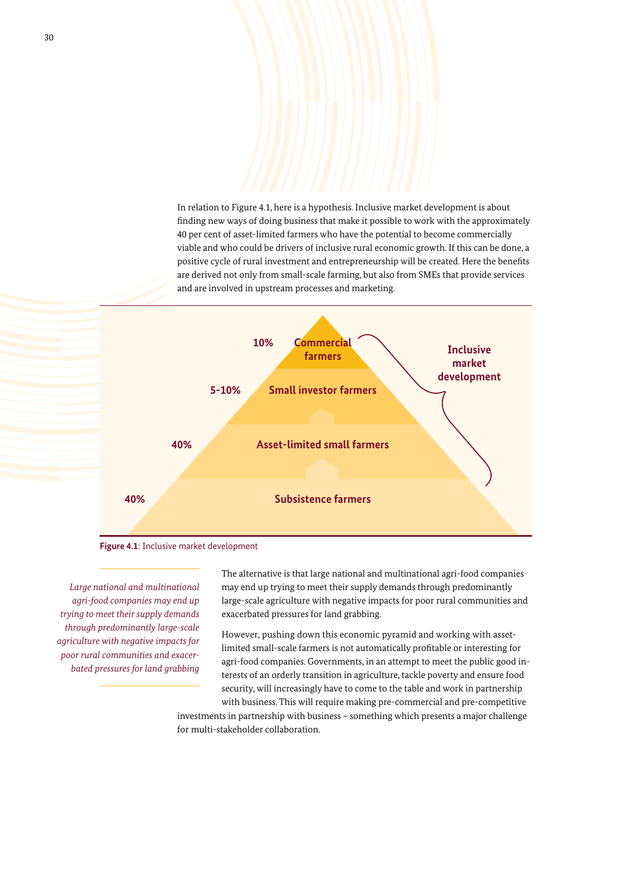In relation to Figure 4.1, here is a hypothesis. Inclusive market development is about finding new ways of doing business that make it possible to work with the approximately 40 per cent of asset-limited farmers who have the potential to become commercially viable and who could be drivers of inclusive rural economic growth. If this can be done, a positive cycle of rural investment and entrepreneurship will be created. Here the benefits are derived not only from small-scale farming, but also from SMEs that provide services and are involved in upstream processes and marketing.





*Large national and multinational agri-food companies may end up trying to meet their supply demands through predominantly large-scale agriculture with negative impacts for poor rural communities and exacerbated pressures for land grabbing*  The alternative is that large national and multinational agri-food companies may end up trying to meet their supply demands through predominantly large-scale agriculture with negative impacts for poor rural communities and exacerbated pressures for land grabbing.

However, pushing down this economic pyramid and working with assetlimited small-scale farmers is not automatically profitable or interesting for agri-food companies. Governments, in an attempt to meet the public good interests of an orderly transition in agriculture, tackle poverty and ensure food security, will increasingly have to come to the table and work in partnership with business. This will require making pre-commercial and pre-competitive

investments in partnership with business – something which presents a major challenge for multi-stakeholder collaboration.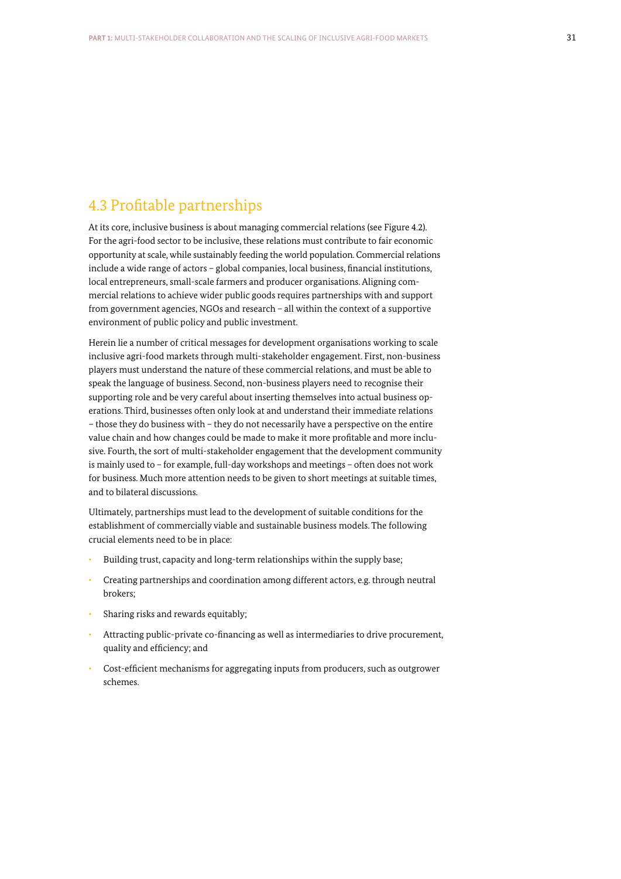# 4.3 Profitable partnerships

At its core, inclusive business is about managing commercial relations (see Figure 4.2). For the agri-food sector to be inclusive, these relations must contribute to fair economic opportunity at scale, while sustainably feeding the world population. Commercial relations include a wide range of actors – global companies, local business, financial institutions, local entrepreneurs, small-scale farmers and producer organisations. Aligning commercial relations to achieve wider public goods requires partnerships with and support from government agencies, NGOs and research – all within the context of a supportive environment of public policy and public investment.

Herein lie a number of critical messages for development organisations working to scale inclusive agri-food markets through multi-stakeholder engagement. First, non-business players must understand the nature of these commercial relations, and must be able to speak the language of business. Second, non-business players need to recognise their supporting role and be very careful about inserting themselves into actual business operations. Third, businesses often only look at and understand their immediate relations – those they do business with – they do not necessarily have a perspective on the entire value chain and how changes could be made to make it more profitable and more inclusive. Fourth, the sort of multi-stakeholder engagement that the development community is mainly used to – for example, full-day workshops and meetings – often does not work for business. Much more attention needs to be given to short meetings at suitable times, and to bilateral discussions.

Ultimately, partnerships must lead to the development of suitable conditions for the establishment of commercially viable and sustainable business models. The following crucial elements need to be in place:

- Building trust, capacity and long-term relationships within the supply base;
- ǣ Creating partnerships and coordination among different actors, e.g. through neutral brokers;
- Sharing risks and rewards equitably;
- ǣ Attracting public-private co-financing as well as intermediaries to drive procurement, quality and efficiency; and
- ǣ Cost-efficient mechanisms for aggregating inputs from producers, such as outgrower schemes.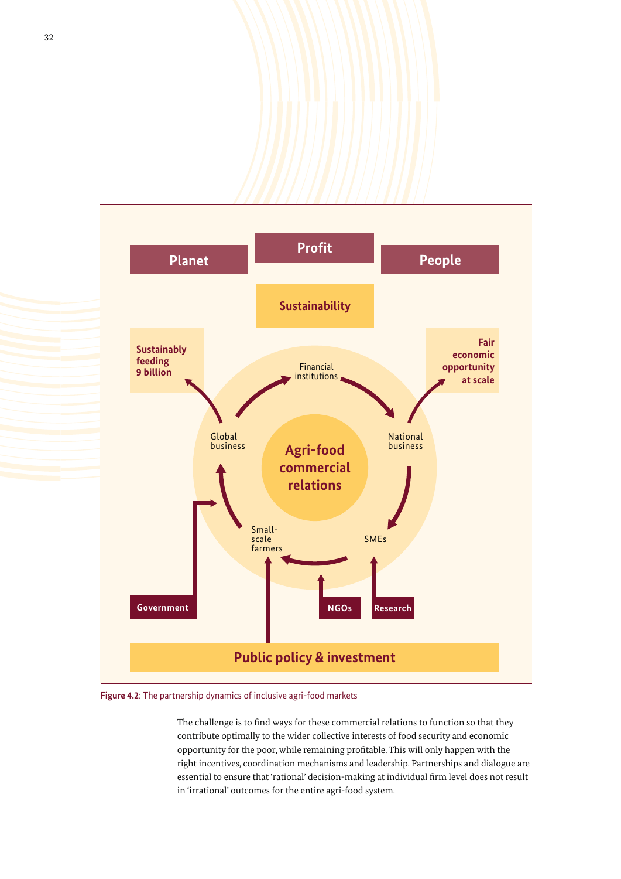

**Figure 4.2**: The partnership dynamics of inclusive agri-food markets

The challenge is to find ways for these commercial relations to function so that they contribute optimally to the wider collective interests of food security and economic opportunity for the poor, while remaining profitable. This will only happen with the right incentives, coordination mechanisms and leadership. Partnerships and dialogue are essential to ensure that 'rational' decision-making at individual firm level does not result in 'irrational' outcomes for the entire agri-food system.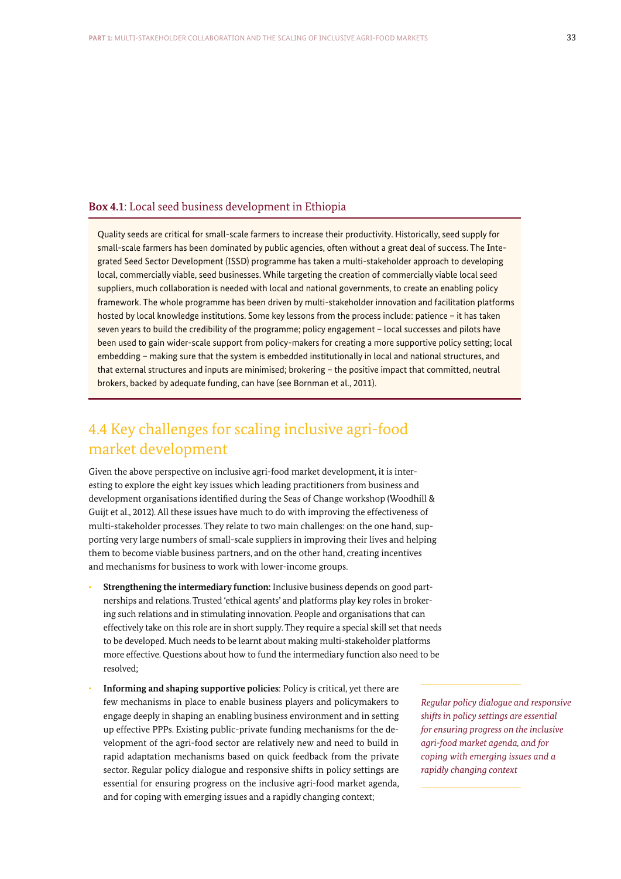## **Box 4.1**: Local seed business development in Ethiopia

Quality seeds are critical for small-scale farmers to increase their productivity. Historically, seed supply for small-scale farmers has been dominated by public agencies, often without a great deal of success. The Integrated Seed Sector Development (ISSD) programme has taken a multi-stakeholder approach to developing local, commercially viable, seed businesses. While targeting the creation of commercially viable local seed suppliers, much collaboration is needed with local and national governments, to create an enabling policy framework. The whole programme has been driven by multi-stakeholder innovation and facilitation platforms hosted by local knowledge institutions. Some key lessons from the process include: patience – it has taken seven years to build the credibility of the programme; policy engagement – local successes and pilots have been used to gain wider-scale support from policy-makers for creating a more supportive policy setting; local embedding – making sure that the system is embedded institutionally in local and national structures, and that external structures and inputs are minimised; brokering – the positive impact that committed, neutral brokers, backed by adequate funding, can have (see Bornman et al., 2011).

# 4.4 Key challenges for scaling inclusive agri-food market development

Given the above perspective on inclusive agri-food market development, it is interesting to explore the eight key issues which leading practitioners from business and development organisations identified during the Seas of Change workshop (Woodhill & Guijt et al., 2012). All these issues have much to do with improving the effectiveness of multi-stakeholder processes. They relate to two main challenges: on the one hand, supporting very large numbers of small-scale suppliers in improving their lives and helping them to become viable business partners, and on the other hand, creating incentives and mechanisms for business to work with lower-income groups.

- ǣ **Strengthening the intermediary function:** Inclusive business depends on good partnerships and relations. Trusted 'ethical agents' and platforms play key roles in brokering such relations and in stimulating innovation. People and organisations that can effectively take on this role are in short supply. They require a special skill set that needs to be developed. Much needs to be learnt about making multi-stakeholder platforms more effective. Questions about how to fund the intermediary function also need to be resolved;
- ǣ **Informing and shaping supportive policies**: Policy is critical, yet there are few mechanisms in place to enable business players and policymakers to engage deeply in shaping an enabling business environment and in setting up effective PPPs. Existing public-private funding mechanisms for the development of the agri-food sector are relatively new and need to build in rapid adaptation mechanisms based on quick feedback from the private sector. Regular policy dialogue and responsive shifts in policy settings are essential for ensuring progress on the inclusive agri-food market agenda, and for coping with emerging issues and a rapidly changing context;

*Regular policy dialogue and responsive shifts in policy settings are essential for ensuring progress on the inclusive agri-food market agenda, and for coping with emerging issues and a rapidly changing context*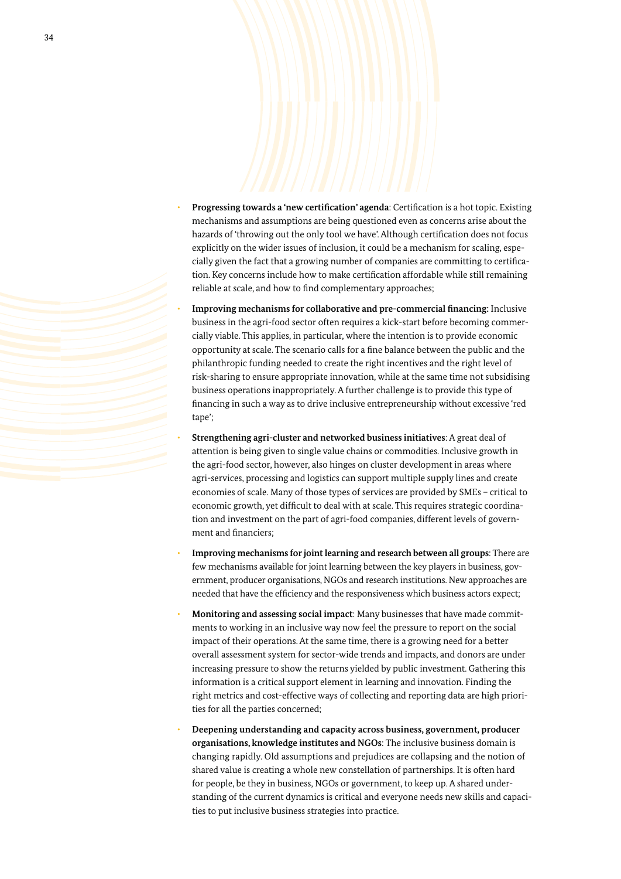- ǣ **Progressing towards a 'new certification' agenda**: Certification is a hot topic. Existing mechanisms and assumptions are being questioned even as concerns arise about the hazards of 'throwing out the only tool we have'. Although certification does not focus explicitly on the wider issues of inclusion, it could be a mechanism for scaling, especially given the fact that a growing number of companies are committing to certification. Key concerns include how to make certification affordable while still remaining reliable at scale, and how to find complementary approaches;
- ǣ **Improving mechanisms for collaborative and pre-commercial financing:** Inclusive business in the agri-food sector often requires a kick-start before becoming commercially viable. This applies, in particular, where the intention is to provide economic opportunity at scale. The scenario calls for a fine balance between the public and the philanthropic funding needed to create the right incentives and the right level of risk-sharing to ensure appropriate innovation, while at the same time not subsidising business operations inappropriately. A further challenge is to provide this type of financing in such a way as to drive inclusive entrepreneurship without excessive 'red tape';
- ǣ **Strengthening agri-cluster and networked business initiatives**: A great deal of attention is being given to single value chains or commodities. Inclusive growth in the agri-food sector, however, also hinges on cluster development in areas where agri-services, processing and logistics can support multiple supply lines and create economies of scale. Many of those types of services are provided by SMEs – critical to economic growth, yet difficult to deal with at scale. This requires strategic coordination and investment on the part of agri-food companies, different levels of government and financiers;
- ǣ **Improving mechanisms for joint learning and research between all groups**: There are few mechanisms available for joint learning between the key players in business, government, producer organisations, NGOs and research institutions. New approaches are needed that have the efficiency and the responsiveness which business actors expect;
- ǣ **Monitoring and assessing social impact**: Many businesses that have made commitments to working in an inclusive way now feel the pressure to report on the social impact of their operations. At the same time, there is a growing need for a better overall assessment system for sector-wide trends and impacts, and donors are under increasing pressure to show the returns yielded by public investment. Gathering this information is a critical support element in learning and innovation. Finding the right metrics and cost-effective ways of collecting and reporting data are high priorities for all the parties concerned;
- ǣ **Deepening understanding and capacity across business, government, producer organisations, knowledge institutes and NGOs**: The inclusive business domain is changing rapidly. Old assumptions and prejudices are collapsing and the notion of shared value is creating a whole new constellation of partnerships. It is often hard for people, be they in business, NGOs or government, to keep up. A shared understanding of the current dynamics is critical and everyone needs new skills and capacities to put inclusive business strategies into practice.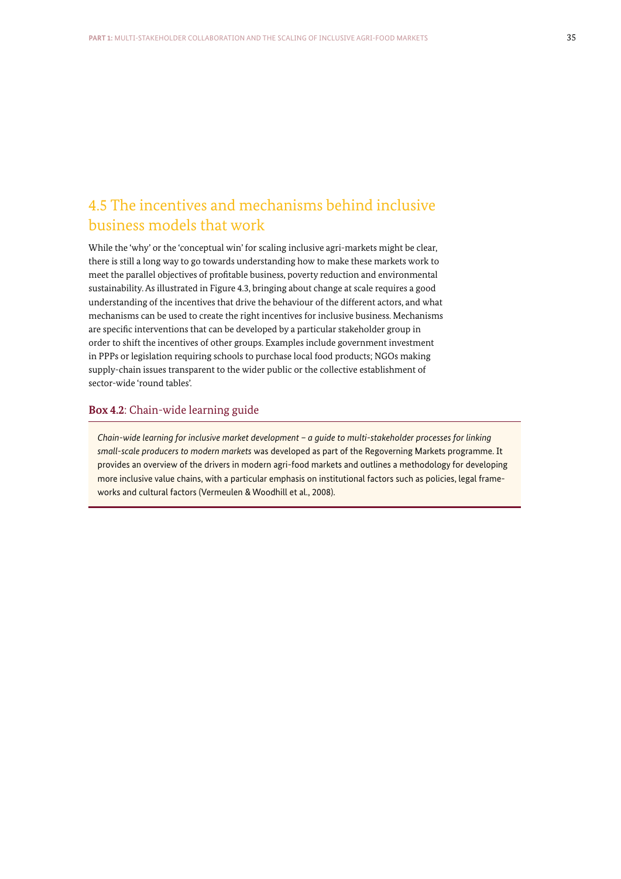# 4.5 The incentives and mechanisms behind inclusive business models that work

While the 'why' or the 'conceptual win' for scaling inclusive agri-markets might be clear, there is still a long way to go towards understanding how to make these markets work to meet the parallel objectives of profitable business, poverty reduction and environmental sustainability. As illustrated in Figure 4.3, bringing about change at scale requires a good understanding of the incentives that drive the behaviour of the different actors, and what mechanisms can be used to create the right incentives for inclusive business. Mechanisms are specific interventions that can be developed by a particular stakeholder group in order to shift the incentives of other groups. Examples include government investment in PPPs or legislation requiring schools to purchase local food products; NGOs making supply-chain issues transparent to the wider public or the collective establishment of sector-wide 'round tables'.

# **Box 4.2**: Chain-wide learning guide

*Chain-wide learning for inclusive market development – a guide to multi-stakeholder processes for linking small-scale producers to modern markets* was developed as part of the Regoverning Markets programme. It provides an overview of the drivers in modern agri-food markets and outlines a methodology for developing more inclusive value chains, with a particular emphasis on institutional factors such as policies, legal frameworks and cultural factors (Vermeulen & Woodhill et al., 2008).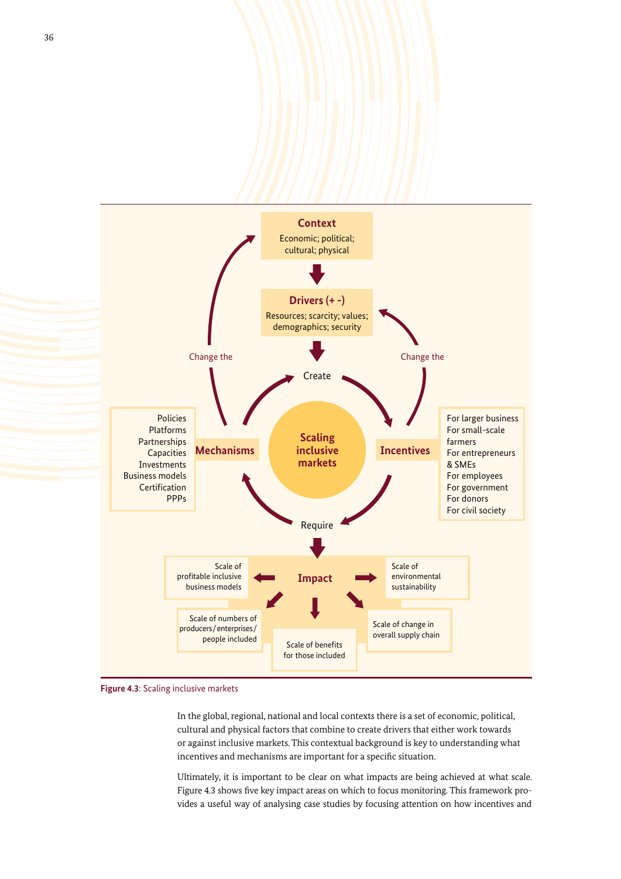

**Figure 4.3**: Scaling inclusive markets

In the global, regional, national and local contexts there is a set of economic, political, cultural and physical factors that combine to create drivers that either work towards or against inclusive markets. This contextual background is key to understanding what incentives and mechanisms are important for a specific situation.

Ultimately, it is important to be clear on what impacts are being achieved at what scale. Figure 4.3 shows five key impact areas on which to focus monitoring. This framework provides a useful way of analysing case studies by focusing attention on how incentives and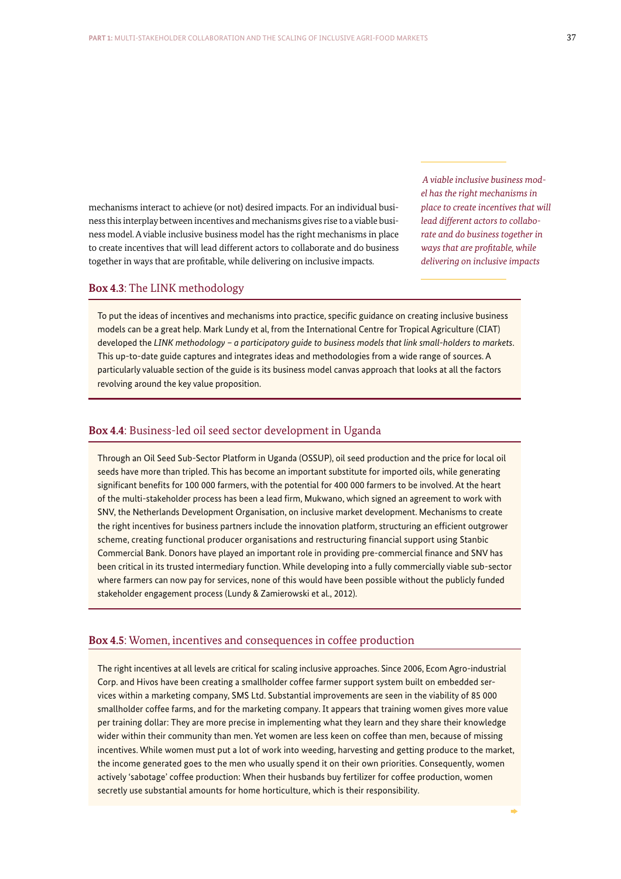mechanisms interact to achieve (or not) desired impacts. For an individual business this interplay between incentives and mechanisms gives rise to a viable business model. A viable inclusive business model has the right mechanisms in place to create incentives that will lead different actors to collaborate and do business together in ways that are profitable, while delivering on inclusive impacts.

 *A viable inclusive business model has the right mechanisms in place to create incentives that will lead different actors to collaborate and do business together in ways that are profitable, while delivering on inclusive impacts* 

### **Box 4.3**: The LINK methodology

To put the ideas of incentives and mechanisms into practice, specific guidance on creating inclusive business models can be a great help. Mark Lundy et al, from the International Centre for Tropical Agriculture (CIAT) developed the *LINK methodology – a participatory guide to business models that link small-holders to markets*. This up-to-date guide captures and integrates ideas and methodologies from a wide range of sources. A particularly valuable section of the guide is its business model canvas approach that looks at all the factors revolving around the key value proposition.

### **Box 4.4**: Business-led oil seed sector development in Uganda

Through an Oil Seed Sub-Sector Platform in Uganda (OSSUP), oil seed production and the price for local oil seeds have more than tripled. This has become an important substitute for imported oils, while generating significant benefits for 100 000 farmers, with the potential for 400 000 farmers to be involved. At the heart of the multi-stakeholder process has been a lead firm, Mukwano, which signed an agreement to work with SNV, the Netherlands Development Organisation, on inclusive market development. Mechanisms to create the right incentives for business partners include the innovation platform, structuring an efficient outgrower scheme, creating functional producer organisations and restructuring financial support using Stanbic Commercial Bank. Donors have played an important role in providing pre-commercial finance and SNV has been critical in its trusted intermediary function. While developing into a fully commercially viable sub-sector where farmers can now pay for services, none of this would have been possible without the publicly funded stakeholder engagement process (Lundy & Zamierowski et al., 2012).

### **Box 4.5**: Women, incentives and consequences in coffee production

The right incentives at all levels are critical for scaling inclusive approaches. Since 2006, Ecom Agro-industrial Corp. and Hivos have been creating a smallholder coffee farmer support system built on embedded services within a marketing company, SMS Ltd. Substantial improvements are seen in the viability of 85 000 smallholder coffee farms, and for the marketing company. It appears that training women gives more value per training dollar: They are more precise in implementing what they learn and they share their knowledge wider within their community than men. Yet women are less keen on coffee than men, because of missing incentives. While women must put a lot of work into weeding, harvesting and getting produce to the market, the income generated goes to the men who usually spend it on their own priorities. Consequently, women actively 'sabotage' coffee production: When their husbands buy fertilizer for coffee production, women secretly use substantial amounts for home horticulture, which is their responsibility.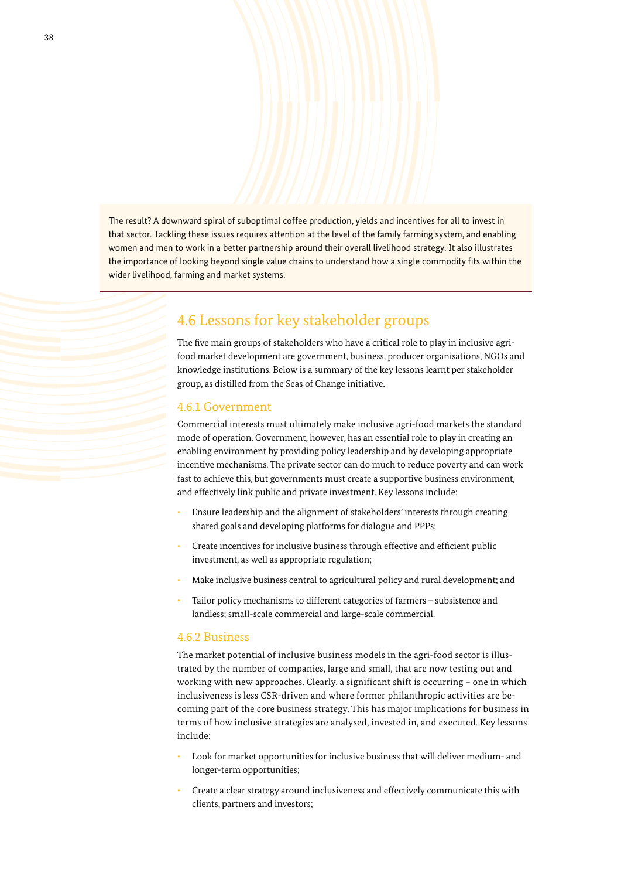The result? A downward spiral of suboptimal coffee production, yields and incentives for all to invest in that sector. Tackling these issues requires attention at the level of the family farming system, and enabling women and men to work in a better partnership around their overall livelihood strategy. It also illustrates the importance of looking beyond single value chains to understand how a single commodity fits within the wider livelihood, farming and market systems.

# 4.6 Lessons for key stakeholder groups

The five main groups of stakeholders who have a critical role to play in inclusive agrifood market development are government, business, producer organisations, NGOs and knowledge institutions. Below is a summary of the key lessons learnt per stakeholder group, as distilled from the Seas of Change initiative.

## 4.6.1 Government

Commercial interests must ultimately make inclusive agri-food markets the standard mode of operation. Government, however, has an essential role to play in creating an enabling environment by providing policy leadership and by developing appropriate incentive mechanisms. The private sector can do much to reduce poverty and can work fast to achieve this, but governments must create a supportive business environment, and effectively link public and private investment. Key lessons include:

- ǣ Ensure leadership and the alignment of stakeholders' interests through creating shared goals and developing platforms for dialogue and PPPs;
- ǣ Create incentives for inclusive business through effective and efficient public investment, as well as appropriate regulation;
- ǣ Make inclusive business central to agricultural policy and rural development; and
- Tailor policy mechanisms to different categories of farmers subsistence and landless; small-scale commercial and large-scale commercial.

# 4.6.2 Business

The market potential of inclusive business models in the agri-food sector is illustrated by the number of companies, large and small, that are now testing out and working with new approaches. Clearly, a significant shift is occurring – one in which inclusiveness is less CSR-driven and where former philanthropic activities are becoming part of the core business strategy. This has major implications for business in terms of how inclusive strategies are analysed, invested in, and executed. Key lessons include:

- ǣ Look for market opportunities for inclusive business that will deliver medium- and longer-term opportunities;
- ǣ Create a clear strategy around inclusiveness and effectively communicate this with clients, partners and investors;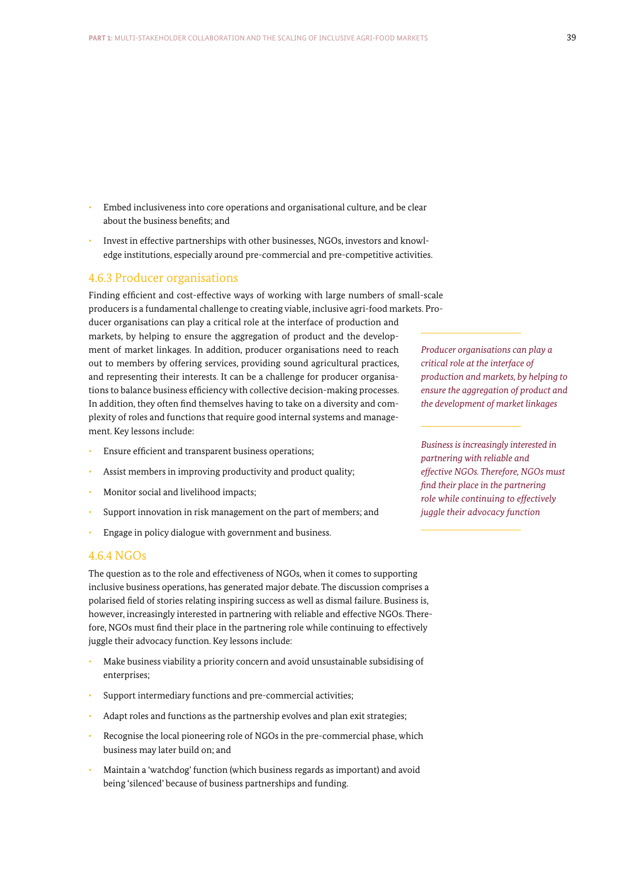- ǣ Embed inclusiveness into core operations and organisational culture, and be clear about the business benefits; and
- ǣ Invest in effective partner ships with other businesses, NGOs, investors and knowledge institutions, especially around pre-commercial and pre-competitive activities.

### 4.6.3 Producer organisations

Finding efficient and cost-effective ways of working with large numbers of small-scale producers is a fundamental challenge to creating viable, inclusive agri-food markets. Producer organisations can play a critical role at the interface of production and markets, by helping to ensure the aggregation of product and the development of market linkages. In addition, producer organisations need to reach out to members by offering services, providing sound agricultural practices, and representing their interests. It can be a challenge for producer organisations to balance business efficiency with collective decision-making processes. In addition, they often find themselves having to take on a diversity and complexity of roles and functions that require good internal systems and management. Key lessons include:

- Ensure efficient and transparent business operations;
- Assist members in improving productivity and product quality;
- Monitor social and livelihood impacts;
- Support innovation in risk management on the part of members; and
- ǣ Engage in policy dialogue with government and business.

### 4.6.4 NGOs

The question as to the role and effectiveness of NGOs, when it comes to supporting inclusive business operations, has generated major debate. The discussion comprises a polarised field of stories relating inspiring success as well as dismal failure. Business is, however, increasingly interested in partnering with reliable and effective NGOs. Therefore, NGOs must find their place in the partnering role while continuing to effectively juggle their advocacy function. Key lessons include:

- ǣ Make business viability a priority concern and avoid unsustainable subsidising of enterprises;
- Support intermediary functions and pre-commercial activities;
- Adapt roles and functions as the partnership evolves and plan exit strategies;
- Recognise the local pioneering role of NGOs in the pre-commercial phase, which business may later build on; and
- ǣ Maintain a 'watchdog' function (which business regards as important) and avoid being 'silenced' because of business partnerships and funding.

*Producer organisations can play a critical role at the interface of production and markets, by helping to ensure the aggregation of product and the development of market linkages*

*Business is increasingly interested in partnering with reliable and effective NGOs. Therefore, NGOs must find their place in the partnering role while continuing to effectively juggle their advocacy function*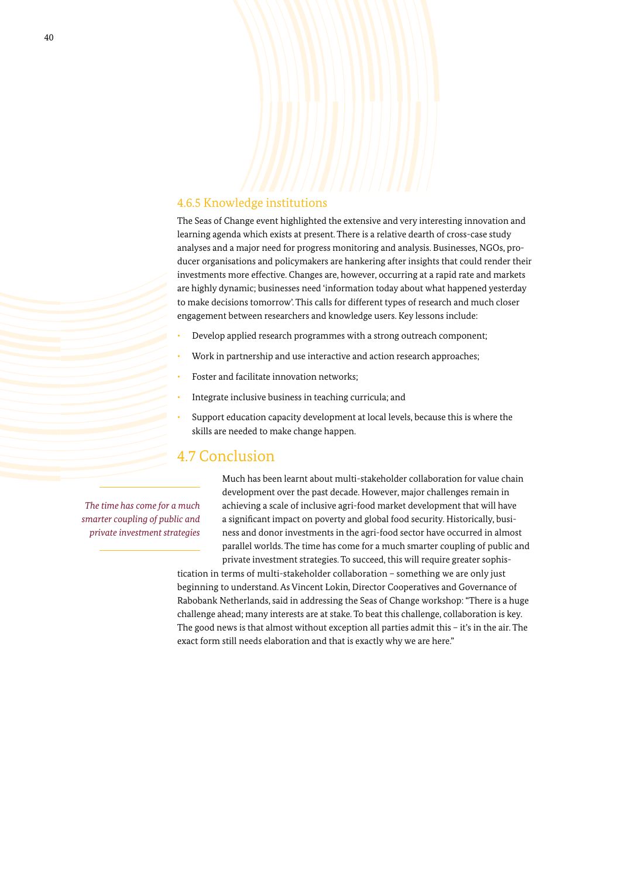# 4.6.5 Knowledge institutions

The Seas of Change event highlighted the extensive and very interesting innovation and learning agenda which exists at present. There is a relative dearth of cross-case study analyses and a major need for progress monitoring and analysis. Businesses, NGOs, producer organisations and policymakers are hankering after insights that could render their investments more effective. Changes are, however, occurring at a rapid rate and markets are highly dynamic; businesses need 'information today about what happened yesterday to make decisions tomorrow'. This calls for different types of research and much closer engagement between researchers and knowledge users. Key lessons include:

- Develop applied research programmes with a strong outreach component;
- Work in partnership and use interactive and action research approaches;
- Foster and facilitate innovation networks;
- ǣ Integrate inclusive business in teaching curricula; and
- ǣ Support education capacity development at local levels, because this is where the skills are needed to make change happen.

# 4.7 Conclusion

*The time has come for a much smarter coupling of public and private investment strategies*

Much has been learnt about multi-stakeholder collaboration for value chain development over the past decade. However, major challenges remain in achieving a scale of inclusive agri-food market development that will have a significant impact on poverty and global food security. Historically, business and donor investments in the agri-food sector have occurred in almost parallel worlds. The time has come for a much smarter coupling of public and private investment strategies. To succeed, this will require greater sophis-

tication in terms of multi-stakeholder collaboration – something we are only just beginning to understand. As Vincent Lokin, Director Cooperatives and Governance of Rabobank Netherlands, said in addressing the Seas of Change workshop: "There is a huge challenge ahead; many interests are at stake. To beat this challenge, collaboration is key. The good news is that almost without exception all parties admit this – it's in the air. The exact form still needs elaboration and that is exactly why we are here."